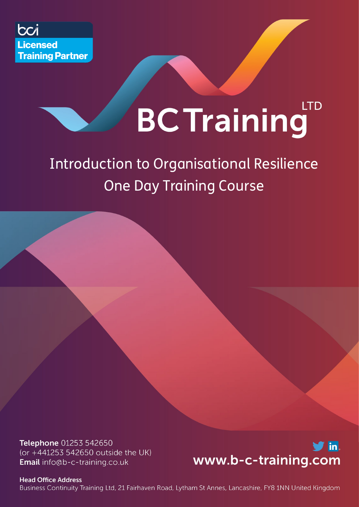

# **LTD BC Training**

## Introduction to Organisational Resilience One Day Training Course

Telephone 01253 542650 (or +441253 542650 outside the UK) Email info@b-c-training.co.uk



**Head Office Address** Business Continuity Training Ltd, 21 Fairhaven Road, Lytham St Annes, Lancashire, FY8 1NN United Kingdom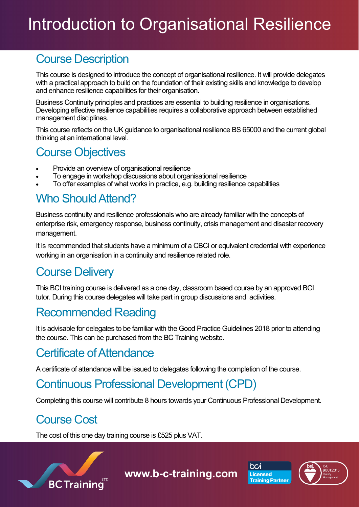## Introduction to Organisational Resilience

### Course Description

This course is designed to introduce the concept of organisational resilience. It will provide delegates with a practical approach to build on the foundation of their existing skills and knowledge to develop and enhance resilience capabilities for their organisation.

Business Continuity principles and practices are essential to building resilience in organisations. Developing effective resilience capabilities requires a collaborative approach between established management disciplines.

This course reflects on the UK guidance to organisational resilience BS 65000 and the current global thinking at an international level.

### Course Objectives

- Provide an overview of organisational resilience
- To engage in workshop discussions about organisational resilience
- To offer examples of what works in practice, e.g. building resilience capabilities

## Who Should Attend?

Business continuity and resilience professionals who are already familiar with the concepts of enterprise risk, emergency response, business continuity, crisis management and disaster recovery management.

It is recommended that students have a minimum of a CBCI or equivalent credential with experience working in an organisation in a continuity and resilience related role.

## Course Delivery

This BCI training course is delivered as a one day, classroom based course by an approved BCI tutor. During this course delegates will take part in group discussions and activities.

## Recommended Reading

It is advisable for delegates to be familiar with the Good Practice Guidelines 2018 prior to attending the course. This can be purchased from the BC Training website.

## Certificate of Attendance

A certificate of attendance will be issued to delegates following the completion of the course.

## Continuous Professional Development (CPD)

Completing this course will contribute 8 hours towards your Continuous Professional Development.

## Course Cost

The cost of this one day training course is £525 plus VAT.



**www.b-c-training.com**



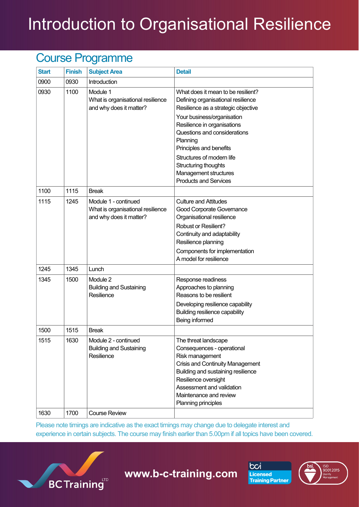# Introduction to Organisational Resilience

### Course Programme

| <b>Start</b> | <b>Finish</b> | <b>Subject Area</b>                                                                  | <b>Detail</b>                                                                                                                                                                                                                                         |
|--------------|---------------|--------------------------------------------------------------------------------------|-------------------------------------------------------------------------------------------------------------------------------------------------------------------------------------------------------------------------------------------------------|
| 0900         | 0930          | Introduction                                                                         |                                                                                                                                                                                                                                                       |
| 0930         | 1100          | Module 1<br>What is organisational resilience<br>and why does it matter?             | What does it mean to be resilient?<br>Defining organisational resilience<br>Resilience as a strategic objective                                                                                                                                       |
|              |               |                                                                                      | Your business/organisation<br>Resilience in organisations<br>Questions and considerations<br>Planning<br>Principles and benefits<br>Structures of modern life<br>Structuring thoughts<br>Management structures<br><b>Products and Services</b>        |
| 1100         | 1115          | <b>Break</b>                                                                         |                                                                                                                                                                                                                                                       |
| 1115         | 1245          | Module 1 - continued<br>What is organisational resilience<br>and why does it matter? | <b>Culture and Attitudes</b><br>Good Corporate Governance<br>Organisational resilience<br>Robust or Resilient?<br>Continuity and adaptability<br>Resilience planning<br>Components for implementation                                                 |
|              |               |                                                                                      | A model for resilience                                                                                                                                                                                                                                |
| 1245         | 1345          | Lunch                                                                                |                                                                                                                                                                                                                                                       |
| 1345         | 1500          | Module 2<br><b>Building and Sustaining</b><br>Resilience                             | Response readiness<br>Approaches to planning<br>Reasons to be resilient<br>Developing resilience capability<br>Building resilience capability<br>Being informed                                                                                       |
| 1500         | 1515          | <b>Break</b>                                                                         |                                                                                                                                                                                                                                                       |
| 1515         | 1630          | Module 2 - continued<br><b>Building and Sustaining</b><br>Resilience                 | The threat landscape<br>Consequences - operational<br>Risk management<br>Crisis and Continuity Management<br>Building and sustaining resilience<br>Resilience oversight<br>Assessment and validation<br>Maintenance and review<br>Planning principles |
| 1630         | 1700          | <b>Course Review</b>                                                                 |                                                                                                                                                                                                                                                       |

Please note timings are indicative as the exact timings may change due to delegate interest and experience in certain subjects. The course may finish earlier than 5.00pm if all topics have been covered.



**www.b-c-training.com**